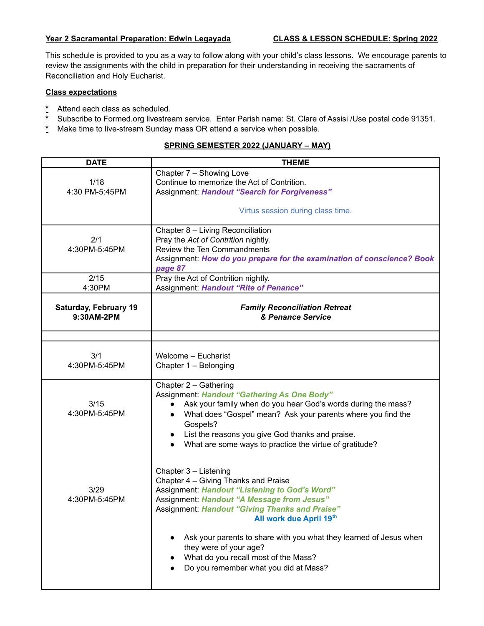## **Year 2 Sacramental Preparation: Edwin Legayada CLASS & LESSON SCHEDULE: Spring 2022**

This schedule is provided to you as a way to follow along with your child's class lessons. We encourage parents to review the assignments with the child in preparation for their understanding in receiving the sacraments of Reconciliation and Holy Eucharist.

## **Class expectations**

- Attend each class as scheduled.
- \* Subscribe to Formed.org livestream service. Enter Parish name: St. Clare of Assisi /Use postal code 91351.<br>\* Make time to live-stream Sunday mass OR attend a service when possible
- **\*** Make time to live-stream Sunday mass OR attend a service when possible.

## **SPRING SEMESTER 2022 (JANUARY – MAY)**

| <b>DATE</b>                                | <b>THEME</b>                                                                                                                                                                                                                                                                                                                                                      |
|--------------------------------------------|-------------------------------------------------------------------------------------------------------------------------------------------------------------------------------------------------------------------------------------------------------------------------------------------------------------------------------------------------------------------|
|                                            | Chapter 7 - Showing Love                                                                                                                                                                                                                                                                                                                                          |
| 1/18                                       | Continue to memorize the Act of Contrition.                                                                                                                                                                                                                                                                                                                       |
| 4:30 PM-5:45PM                             | Assignment: Handout "Search for Forgiveness"                                                                                                                                                                                                                                                                                                                      |
|                                            | Virtus session during class time.                                                                                                                                                                                                                                                                                                                                 |
|                                            | Chapter 8 - Living Reconciliation                                                                                                                                                                                                                                                                                                                                 |
| 2/1                                        | Pray the Act of Contrition nightly.                                                                                                                                                                                                                                                                                                                               |
| 4:30PM-5:45PM                              | Review the Ten Commandments                                                                                                                                                                                                                                                                                                                                       |
|                                            | Assignment: How do you prepare for the examination of conscience? Book<br>page 87                                                                                                                                                                                                                                                                                 |
| 2/15                                       | Pray the Act of Contrition nightly.                                                                                                                                                                                                                                                                                                                               |
| 4:30PM                                     | Assignment: Handout "Rite of Penance"                                                                                                                                                                                                                                                                                                                             |
| <b>Saturday, February 19</b><br>9:30AM-2PM | <b>Family Reconciliation Retreat</b><br>& Penance Service                                                                                                                                                                                                                                                                                                         |
|                                            |                                                                                                                                                                                                                                                                                                                                                                   |
| 3/1<br>4:30PM-5:45PM                       | Welcome - Eucharist<br>Chapter 1 - Belonging                                                                                                                                                                                                                                                                                                                      |
| 3/15<br>4:30PM-5:45PM                      | Chapter 2 - Gathering<br><b>Assignment: Handout "Gathering As One Body"</b><br>Ask your family when do you hear God's words during the mass?<br>$\bullet$<br>What does "Gospel" mean? Ask your parents where you find the<br>$\bullet$<br>Gospels?<br>List the reasons you give God thanks and praise.<br>What are some ways to practice the virtue of gratitude? |
| 3/29<br>4:30PM-5:45PM                      | Chapter 3 - Listening<br>Chapter 4 - Giving Thanks and Praise<br>Assignment: Handout "Listening to God's Word"<br>Assignment: Handout "A Message from Jesus"<br><b>Assignment: Handout "Giving Thanks and Praise"</b><br>All work due April 19th                                                                                                                  |
|                                            | Ask your parents to share with you what they learned of Jesus when<br>they were of your age?<br>What do you recall most of the Mass?<br>Do you remember what you did at Mass?                                                                                                                                                                                     |